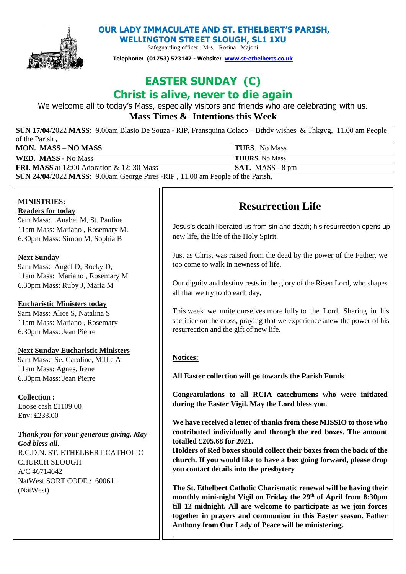

**OUR LADY IMMACULATE AND ST. ETHELBERT'S PARISH,** 

**WELLINGTON STREET SLOUGH, SL1 1XU**  Safeguarding officer: Mrs. Rosina Majoni

**Telephone: (01753) 523147 - Website: [www.st-ethelberts.co.uk](about:blank)**

# **EASTER SUNDAY (C)**

## **Christ is alive, never to die again**

We welcome all to today's Mass, especially visitors and friends who are celebrating with us. **Mass Times & Intentions this Week** 

**SUN 17/04**/2022 **MASS:** 9.00am Blasio De Souza - RIP, Fransquina Colaco – Bthdy wishes & Thkgvg, 11.00 am People of the Parish , **MON. MASS** – **NO MASS** TUES. No Mass **WED. MASS -** No Mass **THURS.** No Mass

**FRI. MASS** at 12:00 Adoration & 12:30 Mass **SAT.** MASS - 8 pm

**SUN 24/04**/2022 **MASS:** 9.00am George Pires -RIP , 11.00 am People of the Parish,

### **MINISTRIES:**

### **Readers for today**

9am Mass: Anabel M, St. Pauline 11am Mass: Mariano , Rosemary M. 6.30pm Mass: Simon M, Sophia B

### **Next Sunday**

9am Mass: Angel D, Rocky D, 11am Mass: Mariano , Rosemary M 6.30pm Mass: Ruby J, Maria M

### **Eucharistic Ministers today**

9am Mass: Alice S, Natalina S 11am Mass: Mariano , Rosemary 6.30pm Mass: Jean Pierre

### **Next Sunday Eucharistic Ministers**

9am Mass: Se. Caroline, Millie A 11am Mass: Agnes, Irene 6.30pm Mass: Jean Pierre

### **Collection :**

Loose cash £1109.00 Env:  $f233.00$ 

*Thank you for your generous giving, May God bless all***.**  R.C.D.N. ST. ETHELBERT CATHOLIC CHURCH SLOUGH A/C 46714642 NatWest SORT CODE : 600611 (NatWest)

### **Resurrection Life**

new life, the life of the Holy Spirit. Jesus's death liberated us from sin and death; his resurrection opens up

Just as Christ was raised from the dead by the power of the Father, we too come to walk in newness of life.

Our dignity and destiny rests in the glory of the Risen Lord, who shapes all that we try to do each day,

resurrection and the gift of new life. This week we unite ourselves more fully to the Lord. Sharing in his sacrifice on the cross, praying that we experience anew the power of his

### **Notices:**

.

**All Easter collection will go towards the Parish Funds**

**Congratulations to all RCIA catechumens who were initiated during the Easter Vigil. May the Lord bless you.**

**We have received a letter of thanks from those MISSIO to those who contributed individually and through the red boxes. The amount totalled** £**205.68 for 2021.** 

**Holders of Red boxes should collect their boxes from the back of the church. If you would like to have a box going forward, please drop you contact details into the presbytery**

**The St. Ethelbert Catholic Charismatic renewal will be having their monthly mini-night Vigil on Friday the 29th of April from 8:30pm till 12 midnight. All are welcome to participate as we join forces together in prayers and communion in this Easter season. Father Anthony from Our Lady of Peace will be ministering.**